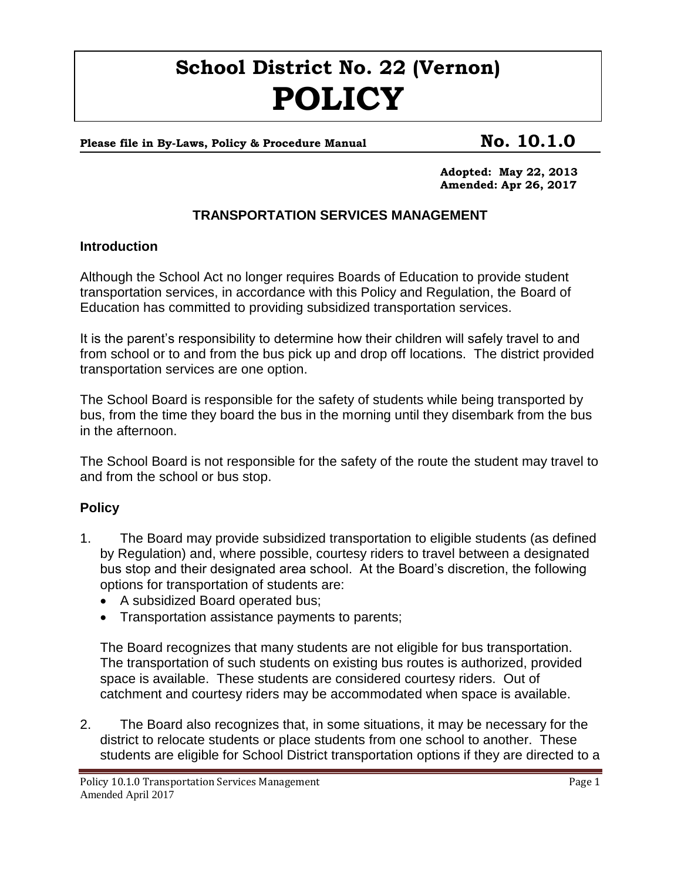# **School District No. 22 (Vernon) POLICY**

# Please file in By-Laws, Policy & Procedure Manual **No. 10.1.0**

**Adopted: May 22, 2013 Amended: Apr 26, 2017**

# **TRANSPORTATION SERVICES MANAGEMENT**

#### **Introduction**

Although the School Act no longer requires Boards of Education to provide student transportation services, in accordance with this Policy and Regulation, the Board of Education has committed to providing subsidized transportation services.

It is the parent's responsibility to determine how their children will safely travel to and from school or to and from the bus pick up and drop off locations. The district provided transportation services are one option.

The School Board is responsible for the safety of students while being transported by bus, from the time they board the bus in the morning until they disembark from the bus in the afternoon.

The School Board is not responsible for the safety of the route the student may travel to and from the school or bus stop.

## **Policy**

- 1. The Board may provide subsidized transportation to eligible students (as defined by Regulation) and, where possible, courtesy riders to travel between a designated bus stop and their designated area school. At the Board's discretion, the following options for transportation of students are:
	- A subsidized Board operated bus;
	- Transportation assistance payments to parents;

The Board recognizes that many students are not eligible for bus transportation. The transportation of such students on existing bus routes is authorized, provided space is available. These students are considered courtesy riders. Out of catchment and courtesy riders may be accommodated when space is available.

2. The Board also recognizes that, in some situations, it may be necessary for the district to relocate students or place students from one school to another. These students are eligible for School District transportation options if they are directed to a